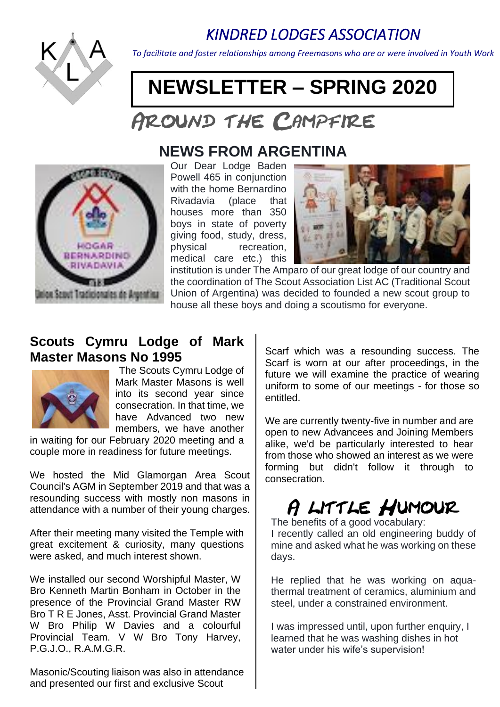# *KINDRED LODGES ASSOCIATION*



*To facilitate and foster relationships among Freemasons who are or were involved in Youth Work*

# **NEWSLETTER – SPRING 2020**

# AROUND THE CAMPFIRE



# **NEWS FROM ARGENTINA**

Our Dear Lodge Baden Powell 465 in conjunction with the home Bernardino Rivadavia (place that houses more than 350 boys in state of poverty giving food, study, dress, physical recreation, medical care etc.) this



institution is under The Amparo of our great lodge of our country and the coordination of The Scout Association List AC (Traditional Scout Union of Argentina) was decided to founded a new scout group to house all these boys and doing a scoutismo for everyone.

## **Scouts Cymru Lodge of Mark Master Masons No 1995**



The Scouts Cymru Lodge of Mark Master Masons is well into its second year since consecration. In that time, we have Advanced two new members, we have another

in waiting for our February 2020 meeting and a couple more in readiness for future meetings.

We hosted the Mid Glamorgan Area Scout Council's AGM in September 2019 and that was a resounding success with mostly non masons in attendance with a number of their young charges.

After their meeting many visited the Temple with great excitement & curiosity, many questions were asked, and much interest shown.

We installed our second Worshipful Master, W Bro Kenneth Martin Bonham in October in the presence of the Provincial Grand Master RW Bro T R E Jones, Asst. Provincial Grand Master W Bro Philip W Davies and a colourful Provincial Team. V W Bro Tony Harvey, P.G.J.O., R.A.M.G.R.

Masonic/Scouting liaison was also in attendance and presented our first and exclusive Scout

Scarf which was a resounding success. The Scarf is worn at our after proceedings, in the future we will examine the practice of wearing uniform to some of our meetings - for those so entitled.

We are currently twenty-five in number and are open to new Advancees and Joining Members alike, we'd be particularly interested to hear from those who showed an interest as we were forming but didn't follow it through to consecration.

# A LITTLE HUMOUR

The benefits of a good vocabulary:

I recently called an old engineering buddy of mine and asked what he was working on these days.

He replied that he was working on aquathermal treatment of ceramics, aluminium and steel, under a constrained environment.

I was impressed until, upon further enquiry, I learned that he was washing dishes in hot water under his wife's supervision!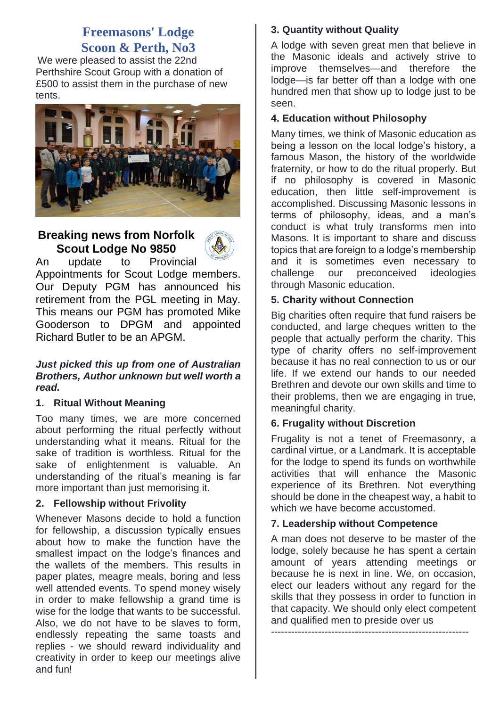### **Freemasons' Lodge Scoon & Perth, No3**

We were pleased to assist the 22nd Perthshire Scout Group with a donation of £500 to assist them in the purchase of new tents.



#### **Breaking news from Norfolk Scout Lodge No 9850**



An update to Provincial Appointments for Scout Lodge members. Our Deputy PGM has announced his retirement from the PGL meeting in May. This means our PGM has promoted Mike Gooderson to DPGM and appointed Richard Butler to be an APGM.

#### *Just picked this up from one of Australian Brothers, Author unknown but well worth a read.*

#### **1. Ritual Without Meaning**

Too many times, we are more concerned about performing the ritual perfectly without understanding what it means. Ritual for the sake of tradition is worthless. Ritual for the sake of enlightenment is valuable. An understanding of the ritual's meaning is far more important than just memorising it.

#### **2. Fellowship without Frivolity**

Whenever Masons decide to hold a function for fellowship, a discussion typically ensues about how to make the function have the smallest impact on the lodge's finances and the wallets of the members. This results in paper plates, meagre meals, boring and less well attended events. To spend money wisely in order to make fellowship a grand time is wise for the lodge that wants to be successful. Also, we do not have to be slaves to form, endlessly repeating the same toasts and replies - we should reward individuality and creativity in order to keep our meetings alive and fun!

#### **3. Quantity without Quality**

A lodge with seven great men that believe in the Masonic ideals and actively strive to improve themselves—and therefore the lodge—is far better off than a lodge with one hundred men that show up to lodge just to be seen.

#### **4. Education without Philosophy**

Many times, we think of Masonic education as being a lesson on the local lodge's history, a famous Mason, the history of the worldwide fraternity, or how to do the ritual properly. But if no philosophy is covered in Masonic education, then little self-improvement is accomplished. Discussing Masonic lessons in terms of philosophy, ideas, and a man's conduct is what truly transforms men into Masons. It is important to share and discuss topics that are foreign to a lodge's membership and it is sometimes even necessary to challenge our preconceived ideologies through Masonic education.

#### **5. Charity without Connection**

Big charities often require that fund raisers be conducted, and large cheques written to the people that actually perform the charity. This type of charity offers no self-improvement because it has no real connection to us or our life. If we extend our hands to our needed Brethren and devote our own skills and time to their problems, then we are engaging in true, meaningful charity.

#### **6. Frugality without Discretion**

Frugality is not a tenet of Freemasonry, a cardinal virtue, or a Landmark. It is acceptable for the lodge to spend its funds on worthwhile activities that will enhance the Masonic experience of its Brethren. Not everything should be done in the cheapest way, a habit to which we have become accustomed.

#### **7. Leadership without Competence**

A man does not deserve to be master of the lodge, solely because he has spent a certain amount of years attending meetings or because he is next in line. We, on occasion, elect our leaders without any regard for the skills that they possess in order to function in that capacity. We should only elect competent and qualified men to preside over us -----------------------------------------------------------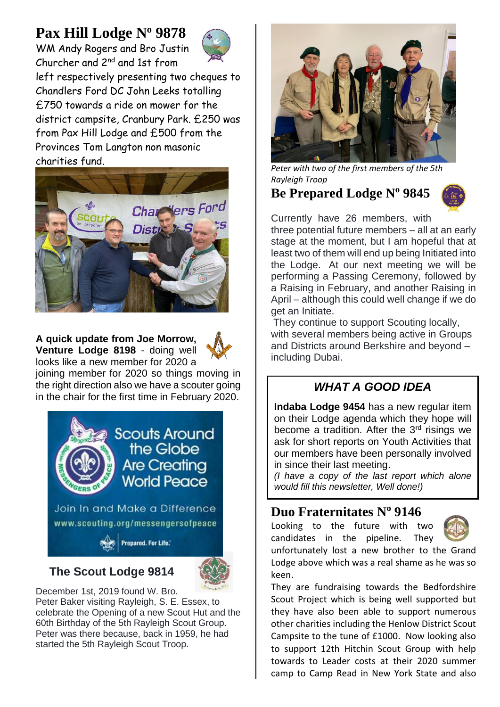# **Pax Hill Lodge N<sup>o</sup> 9878**

WM Andy Rogers and Bro Justin Churcher and 2nd and 1st from



left respectively presenting two cheques to Chandlers Ford DC John Leeks totalling £750 towards a ride on mower for the district campsite, Cranbury Park. £250 was from Pax Hill Lodge and £500 from the Provinces Tom Langton non masonic charities fund.



**A quick update from Joe Morrow, Venture Lodge 8198** - doing well looks like a new member for 2020 a



joining member for 2020 so things moving in the right direction also we have a scouter going in the chair for the first time in February 2020.



## **The Scout Lodge 9814**



December 1st, 2019 found W. Bro. Peter Baker visiting Rayleigh, S. E. Essex, to celebrate the Opening of a new Scout Hut and the 60th Birthday of the 5th Rayleigh Scout Group. Peter was there because, back in 1959, he had started the 5th Rayleigh Scout Troop.



*Peter with two of the first members of the 5th Rayleigh Troop*

# **Be Prepared Lodge N o 9845**



Currently have 26 members, with

three potential future members – all at an early stage at the moment, but I am hopeful that at least two of them will end up being Initiated into the Lodge. At our next meeting we will be performing a Passing Ceremony, followed by a Raising in February, and another Raising in April – although this could well change if we do get an Initiate.

They continue to support Scouting locally, with several members being active in Groups and Districts around Berkshire and beyond – including Dubai.

## *WHAT A GOOD IDEA*

**Indaba Lodge 9454** has a new regular item on their Lodge agenda which they hope will become a tradition. After the 3<sup>rd</sup> risings we ask for short reports on Youth Activities that our members have been personally involved in since their last meeting.

*(I have a copy of the last report which alone would fill this newsletter, Well done!)*

# **Duo Fraternitates N o 9146**

Looking to the future with two candidates in the pipeline. They



unfortunately lost a new brother to the Grand Lodge above which was a real shame as he was so keen.

They are fundraising towards the Bedfordshire Scout Project which is being well supported but they have also been able to support numerous other charities including the Henlow District Scout Campsite to the tune of £1000. Now looking also to support 12th Hitchin Scout Group with help towards to Leader costs at their 2020 summer camp to Camp Read in New York State and also